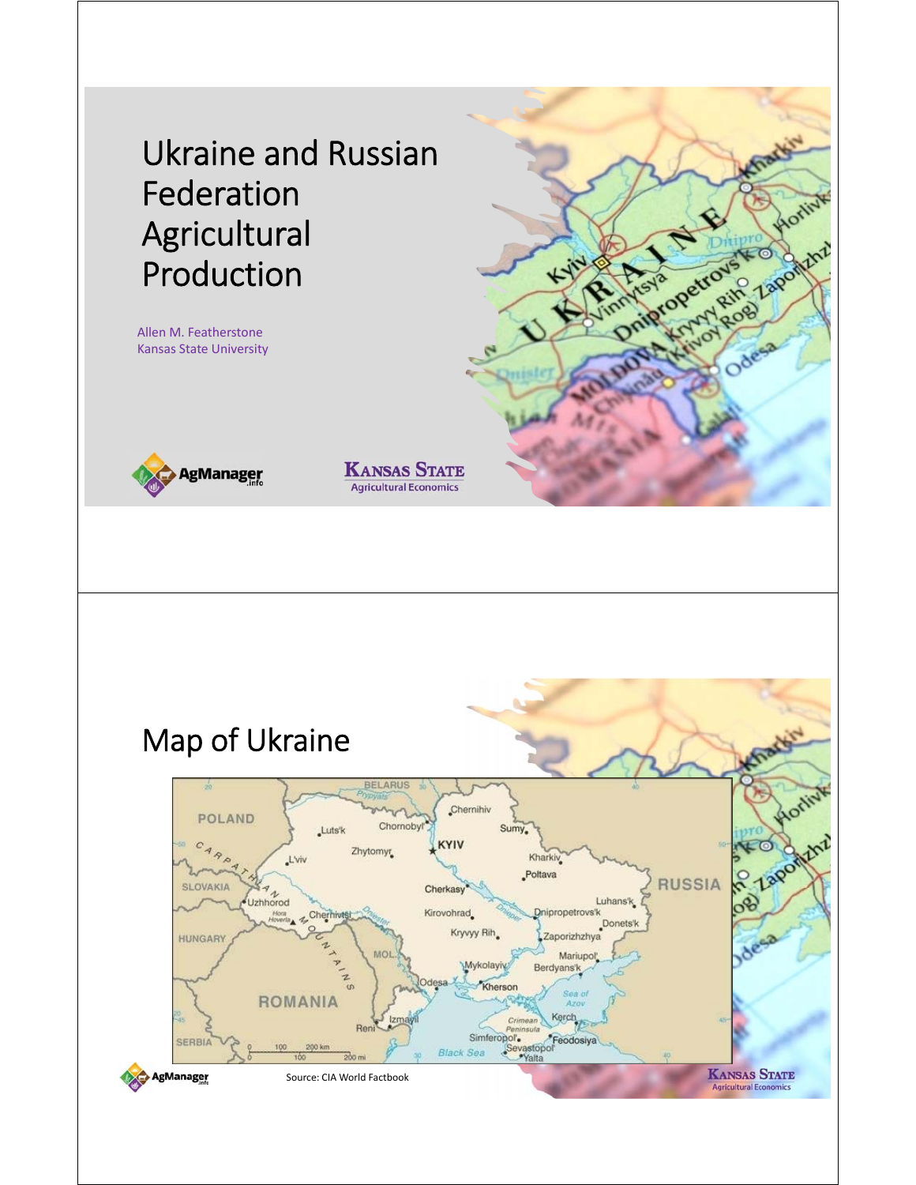Ukraine and Russian Federation Agricultural Production

Allen M. Featherstone Kansas State University



**KANSAS STATE Agricultural Economics** 

Drington Review Laponint

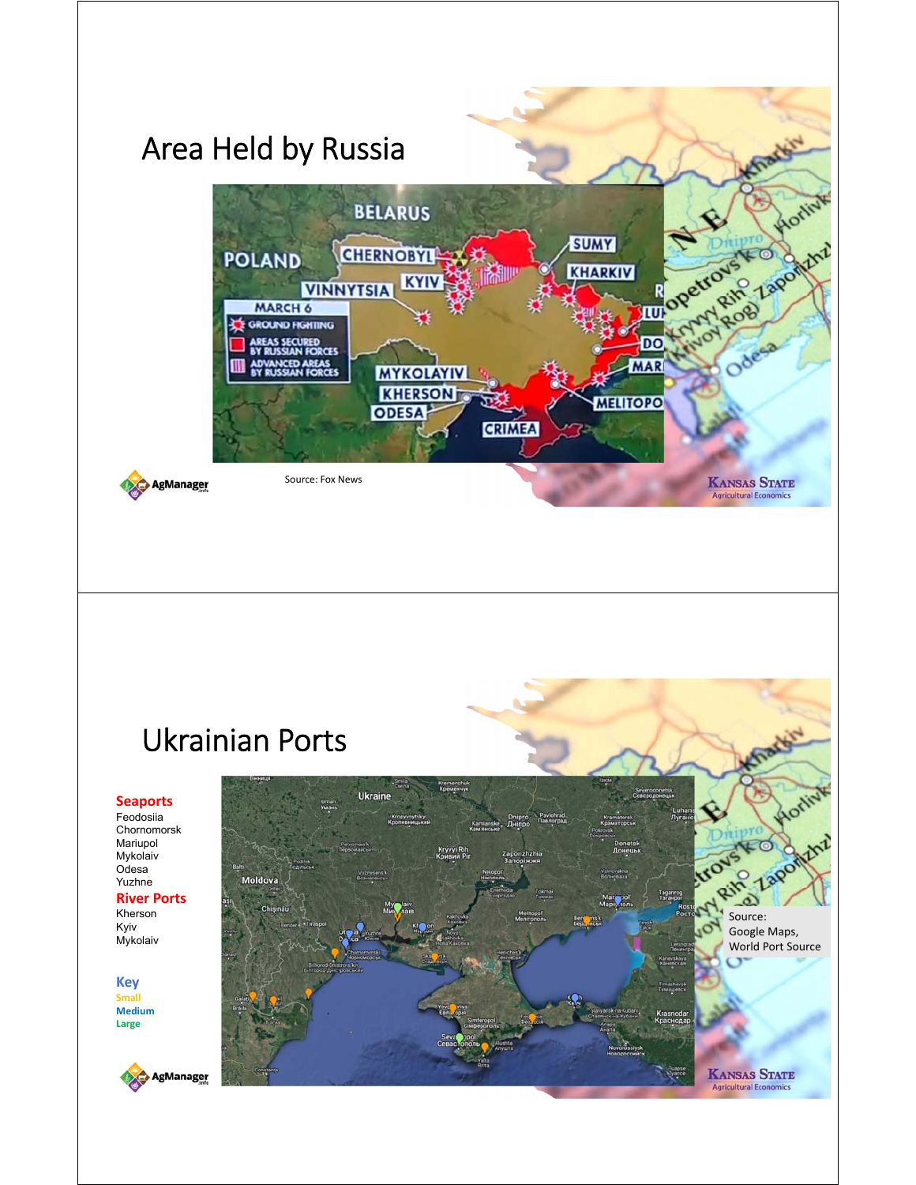

### Ukrainian Ports

#### **Seaports**

Feodosiia Chornomorsk Mariupol Mykolaiv Odesa Yuzhne **River Ports**

Kherson Kyiv Mykolaiv

**Key Small Medium Large**



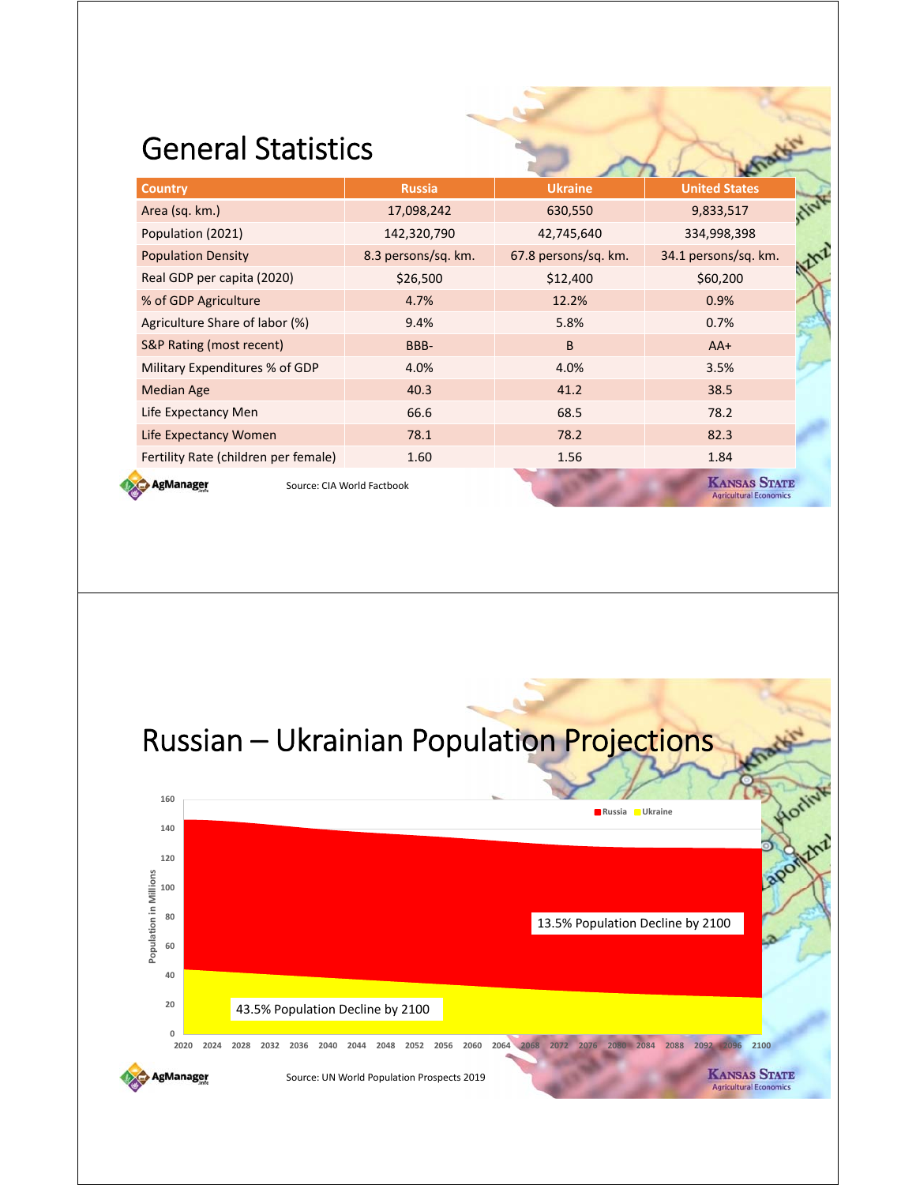#### General Statistics

| <b>Country</b>                       | <b>Russia</b>              | <b>Ukraine</b>       | <b>United States</b>                                 |  |
|--------------------------------------|----------------------------|----------------------|------------------------------------------------------|--|
| Area (sq. km.)                       | 17,098,242                 | 630,550              | 9,833,517                                            |  |
| Population (2021)                    | 142,320,790                | 42,745,640           | 334,998,398                                          |  |
| <b>Population Density</b>            | 8.3 persons/sq. km.        | 67.8 persons/sq. km. | 34.1 persons/sq. km.                                 |  |
| Real GDP per capita (2020)           | \$26,500                   | \$12,400             | \$60,200                                             |  |
| % of GDP Agriculture                 | 4.7%                       | 12.2%                | 0.9%                                                 |  |
| Agriculture Share of labor (%)       | 9.4%                       | 5.8%                 | 0.7%                                                 |  |
| <b>S&amp;P Rating (most recent)</b>  | BBB-                       | B                    | $AA+$                                                |  |
| Military Expenditures % of GDP       | 4.0%                       | 4.0%                 | 3.5%                                                 |  |
| <b>Median Age</b>                    | 40.3                       | 41.2                 | 38.5                                                 |  |
| Life Expectancy Men                  | 66.6                       | 68.5                 | 78.2                                                 |  |
| Life Expectancy Women                | 78.1                       | 78.2                 | 82.3                                                 |  |
| Fertility Rate (children per female) | 1.60                       | 1.56                 | 1.84                                                 |  |
| AgManager                            | Source: CIA World Factbook |                      | <b>KANSAS STATE</b><br><b>Agricultural Economics</b> |  |



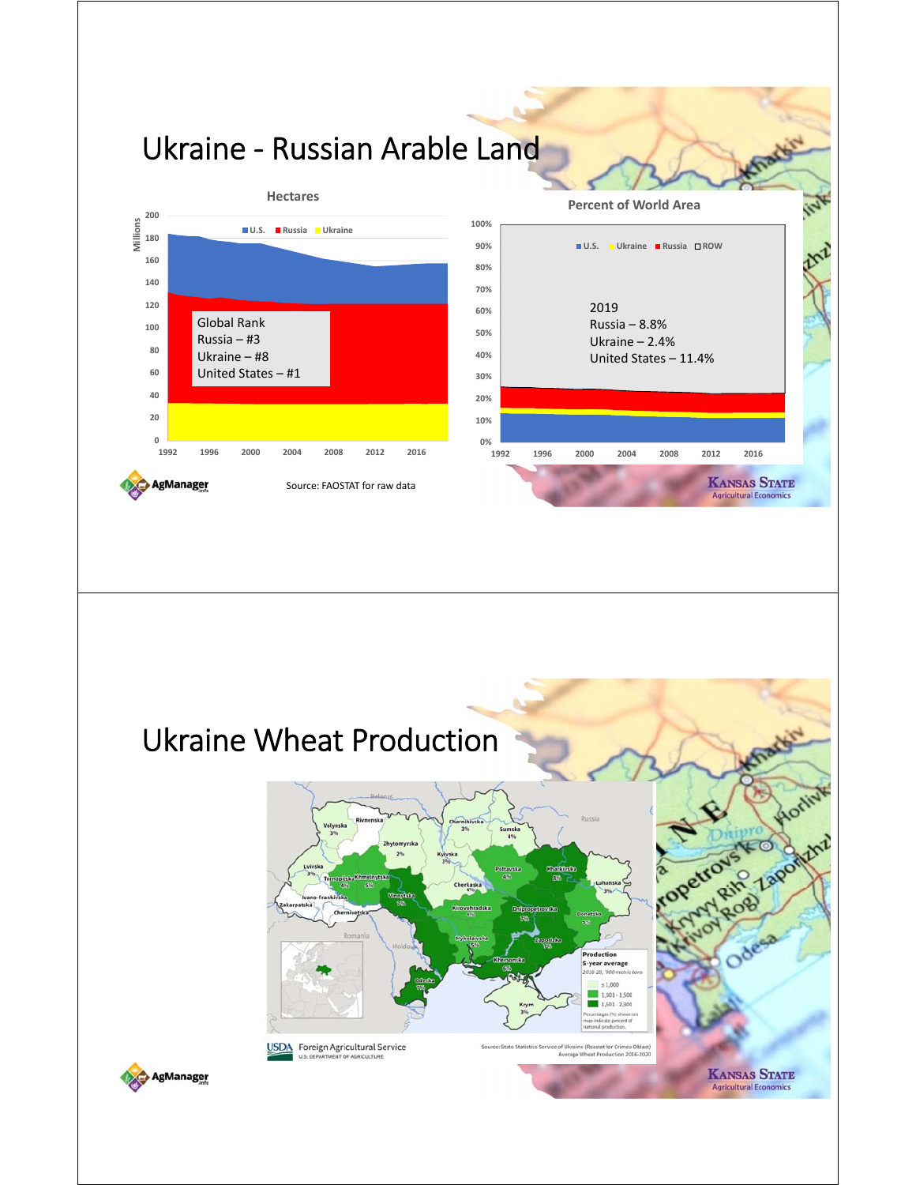

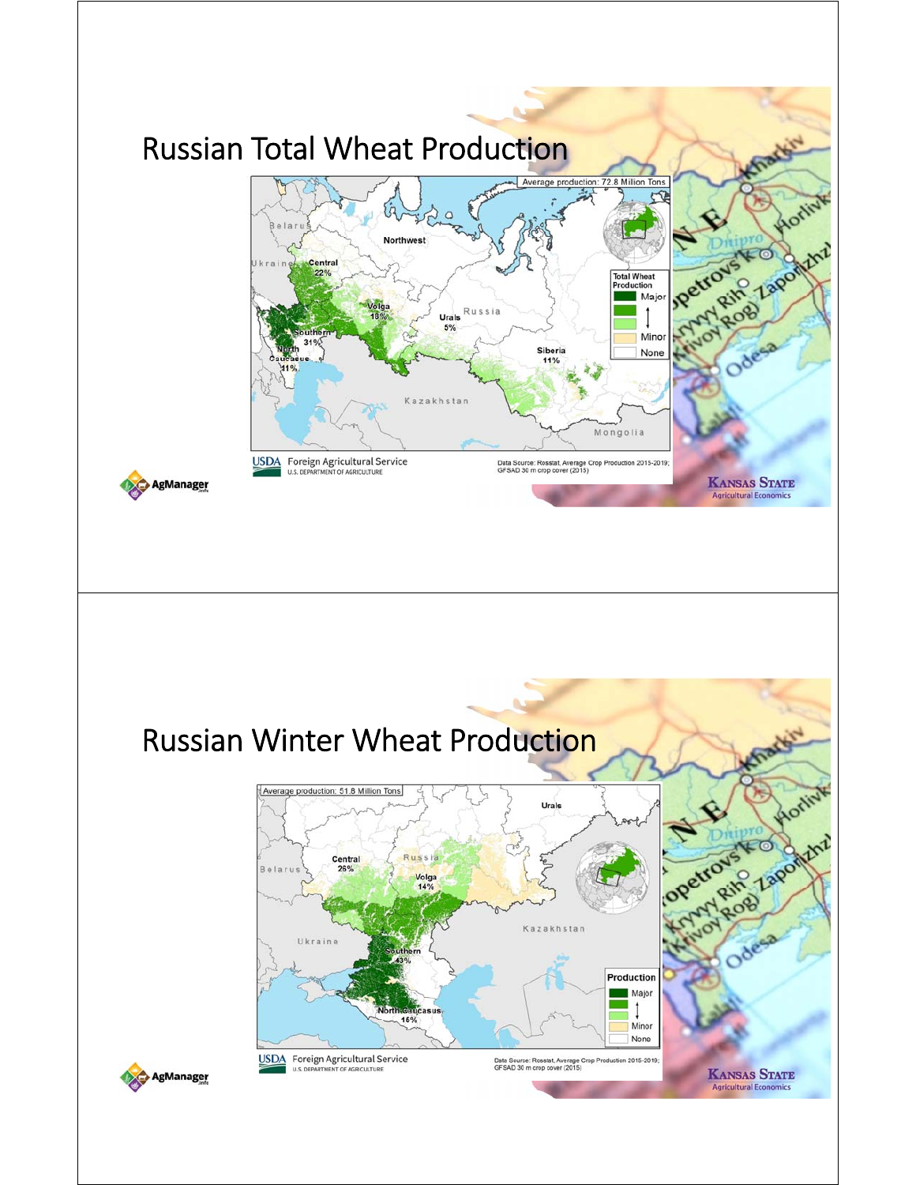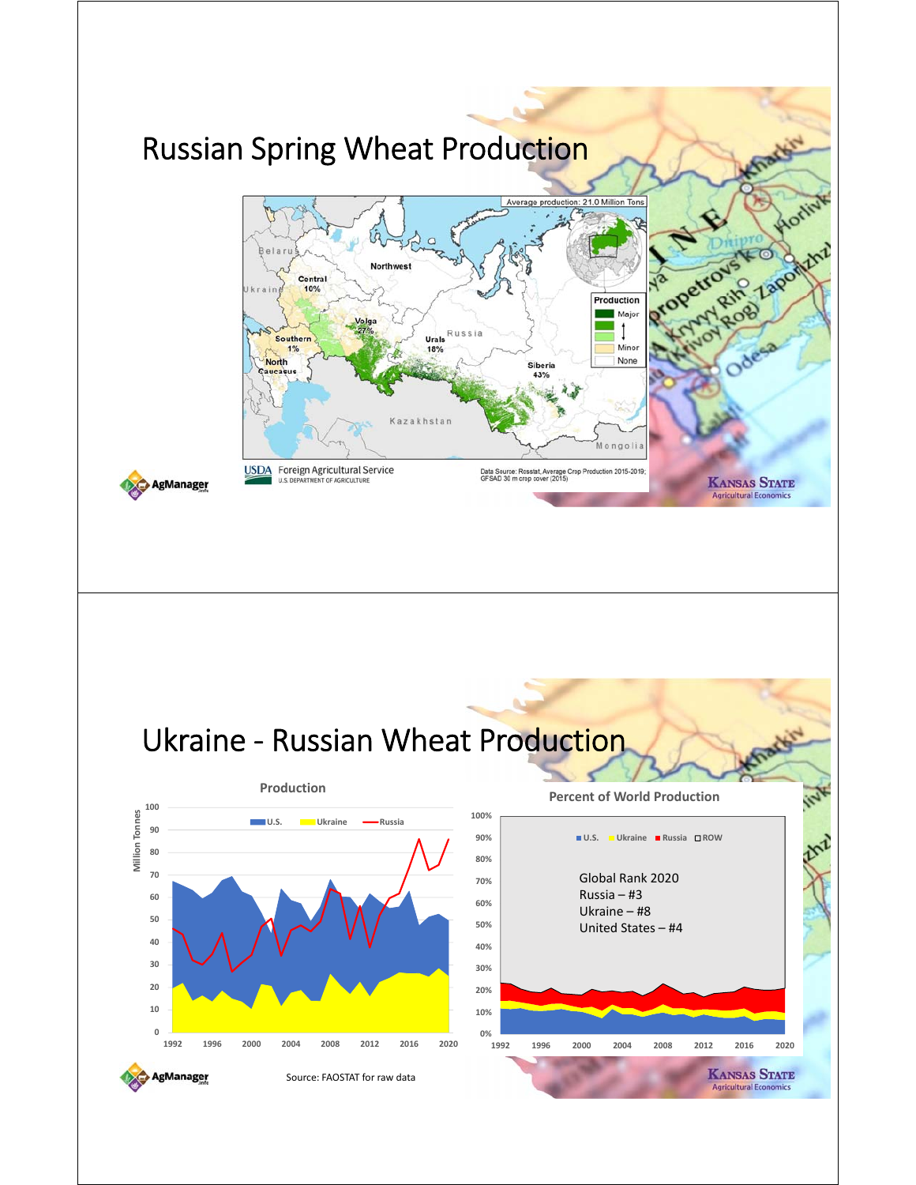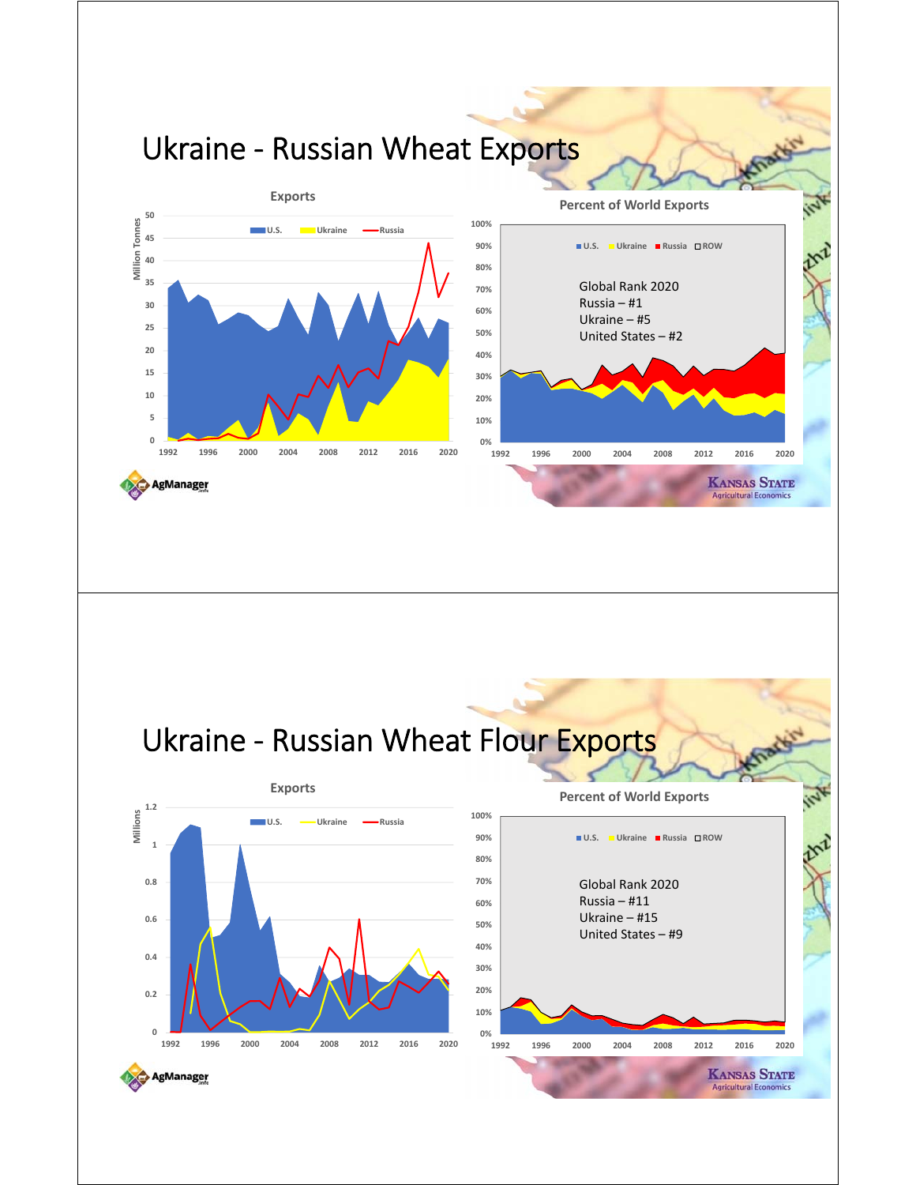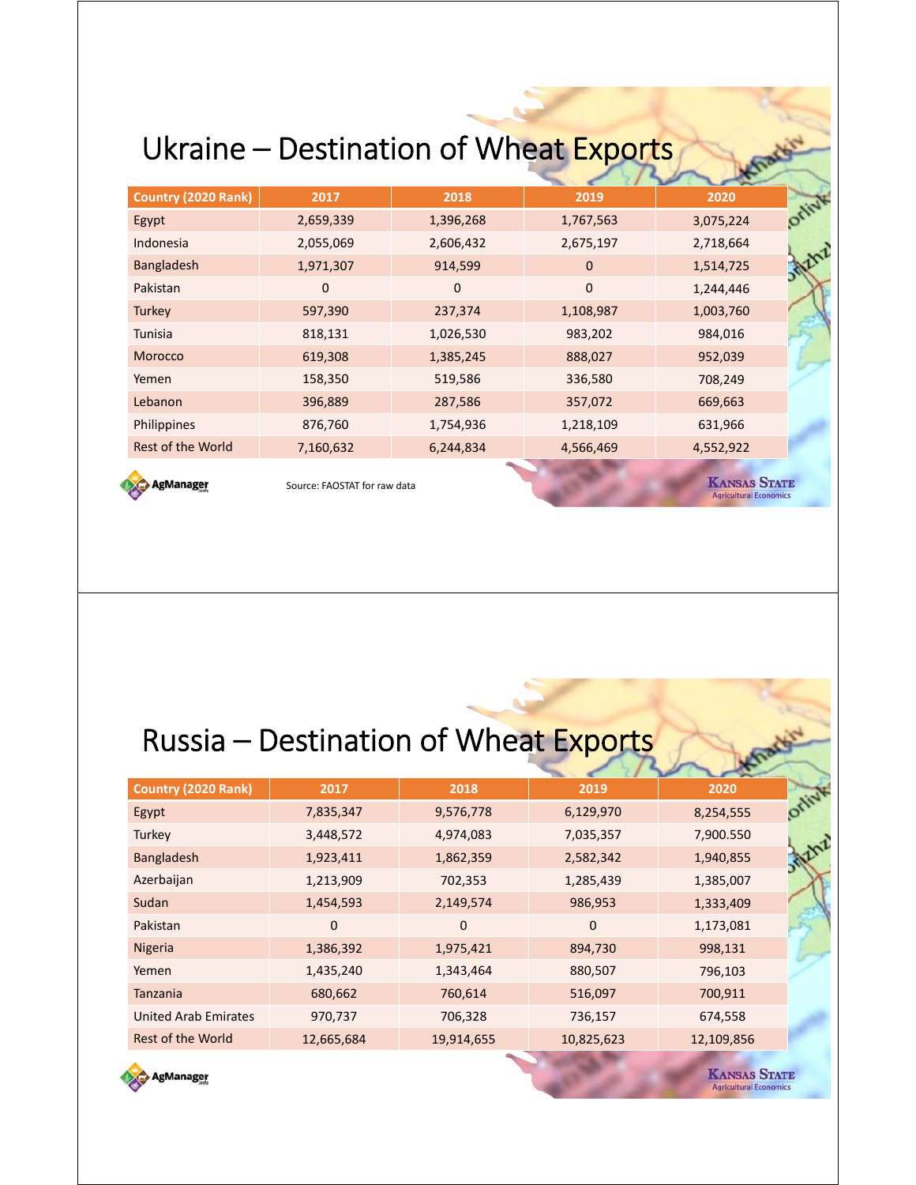## Ukraine – Destination of Wheat Exports

| Country (2020 Rank)      | 2017      | 2018      | 2019        | 2020      | Will |
|--------------------------|-----------|-----------|-------------|-----------|------|
| Egypt                    | 2,659,339 | 1,396,268 | 1,767,563   | 3,075,224 |      |
| Indonesia                | 2,055,069 | 2,606,432 | 2,675,197   | 2,718,664 |      |
| Bangladesh               | 1,971,307 | 914,599   | $\mathbf 0$ | 1,514,725 |      |
| Pakistan                 | 0         | 0         | $\mathbf 0$ | 1,244,446 |      |
| Turkey                   | 597,390   | 237,374   | 1,108,987   | 1,003,760 |      |
| Tunisia                  | 818,131   | 1,026,530 | 983,202     | 984,016   |      |
| Morocco                  | 619,308   | 1,385,245 | 888,027     | 952,039   |      |
| Yemen                    | 158,350   | 519,586   | 336,580     | 708,249   |      |
| Lebanon                  | 396,889   | 287,586   | 357,072     | 669,663   |      |
| Philippines              | 876,760   | 1,754,936 | 1,218,109   | 631,966   |      |
| <b>Rest of the World</b> | 7,160,632 | 6,244,834 | 4,566,469   | 4,552,922 |      |
|                          |           |           |             |           |      |



Source: FAOSTAT for raw data

**KANSAS STATE Agricultural Economics** 

## Russia – Destination of Wheat Exports

| <b>Country (2020 Rank)</b>  | 2017         | 2018       | 2019       | 2020       |        |
|-----------------------------|--------------|------------|------------|------------|--------|
| Egypt                       | 7,835,347    | 9,576,778  | 6,129,970  | 8,254,555  | Offini |
| Turkey                      | 3,448,572    | 4,974,083  | 7,035,357  | 7,900.550  |        |
| <b>Bangladesh</b>           | 1,923,411    | 1,862,359  | 2,582,342  | 1,940,855  |        |
| Azerbaijan                  | 1,213,909    | 702,353    | 1,285,439  | 1,385,007  |        |
| Sudan                       | 1,454,593    | 2,149,574  | 986,953    | 1,333,409  |        |
| Pakistan                    | $\mathbf{0}$ | $\Omega$   | 0          | 1,173,081  |        |
| Nigeria                     | 1,386,392    | 1,975,421  | 894,730    | 998,131    |        |
| Yemen                       | 1,435,240    | 1,343,464  | 880,507    | 796,103    |        |
| Tanzania                    | 680,662      | 760,614    | 516,097    | 700,911    |        |
| <b>United Arab Emirates</b> | 970,737      | 706,328    | 736,157    | 674,558    |        |
| Rest of the World           | 12,665,684   | 19,914,655 | 10,825,623 | 12,109,856 |        |



**KANSAS STATE Agricultural Econom**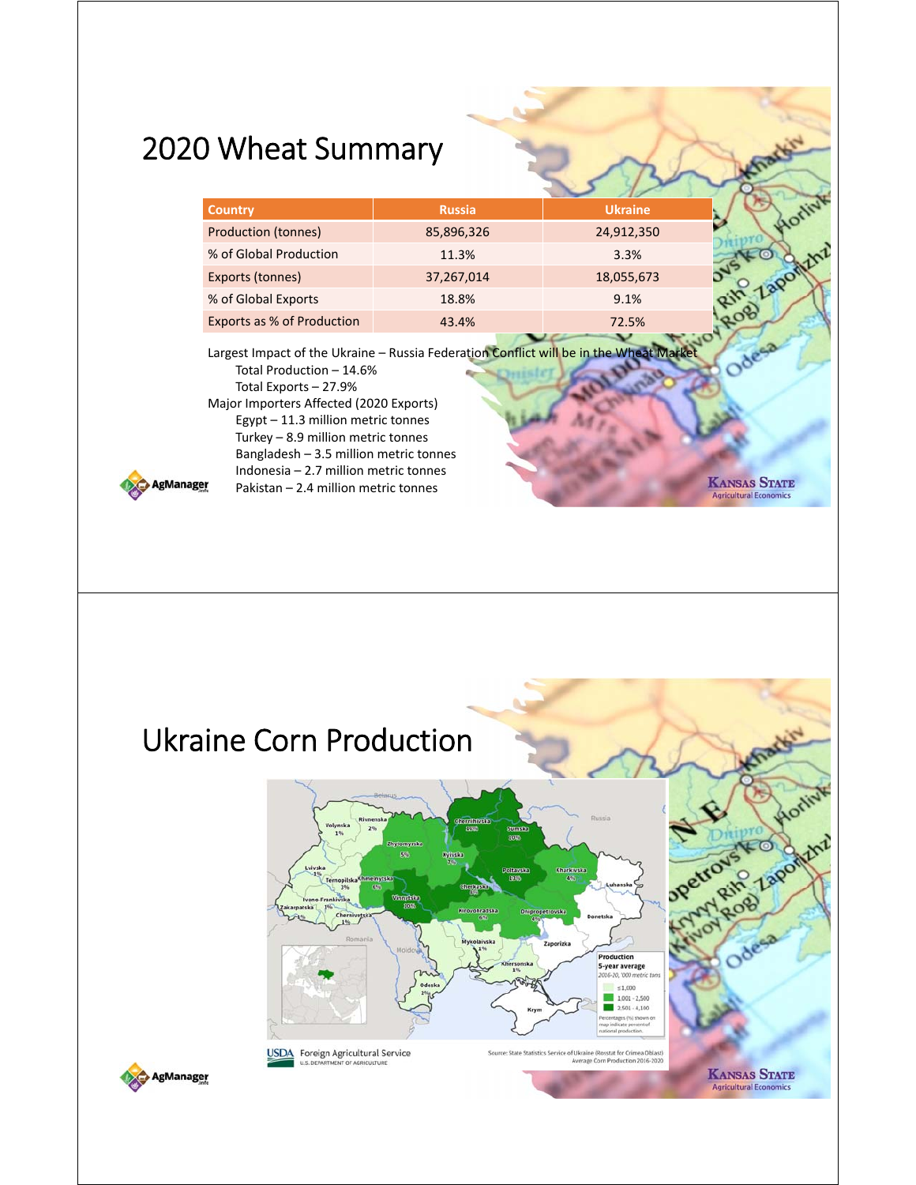### 2020 Wheat Summary

Indonesia – 2.7 million metric tonnes Pakistan – 2.4 million metric tonnes

| <b>Country</b>             | <b>Russia</b> | <b>Ukraine</b> |  |
|----------------------------|---------------|----------------|--|
| <b>Production (tonnes)</b> | 85,896,326    | 24,912,350     |  |
| % of Global Production     | 11.3%         | 3.3%           |  |
| Exports (tonnes)           | 37,267,014    | 18,055,673     |  |
| % of Global Exports        | 18.8%         | 9.1%           |  |
| Exports as % of Production | 43.4%         | 72.5%          |  |
|                            |               |                |  |

**KANSAS STATE** 

**Agricultural Econor** 

Largest Impact of the Ukraine - Russia Federation Conflict will be in the Wheat Market Total Production – 14.6% Total Exports – 27.9% Major Importers Affected (2020 Exports) Egypt – 11.3 million metric tonnes Turkey – 8.9 million metric tonnes Bangladesh – 3.5 million metric tonnes

AgManager

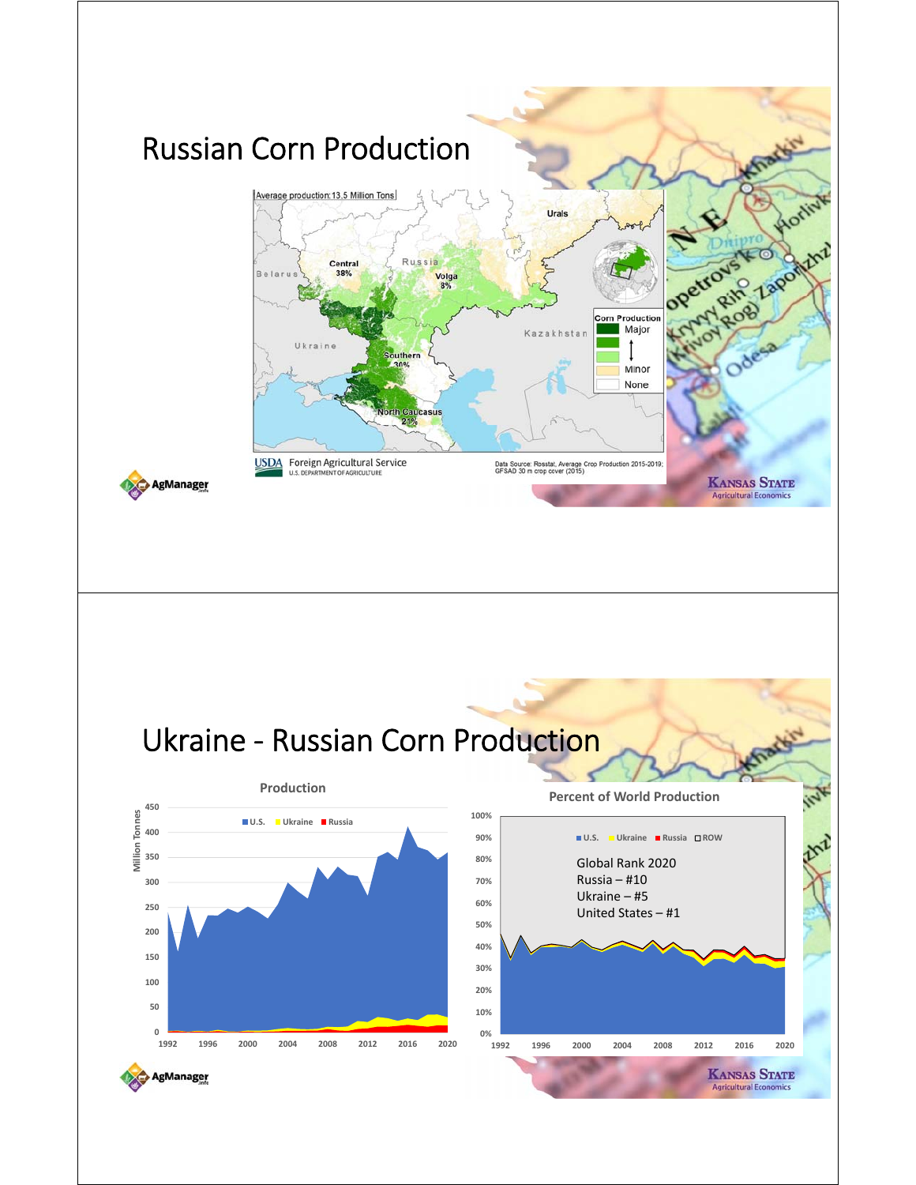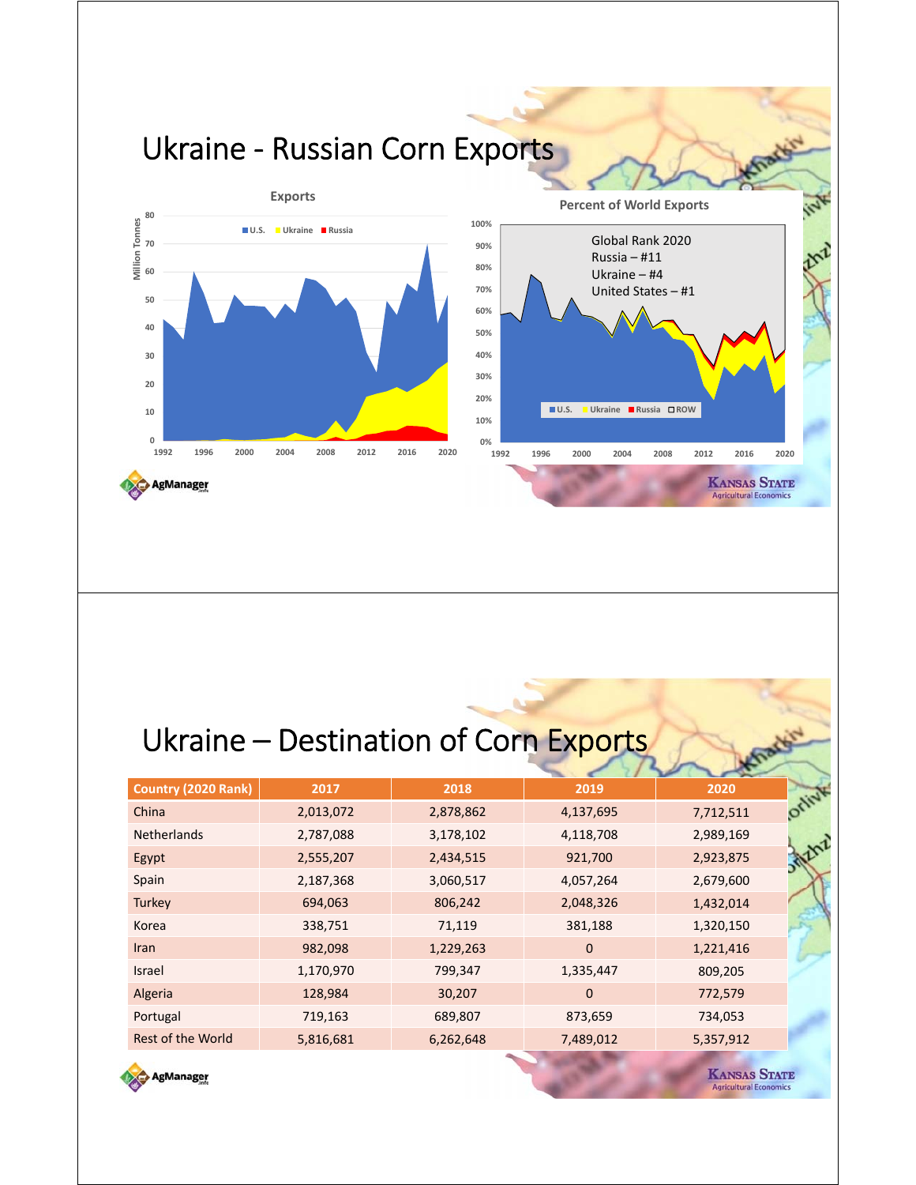

## Ukraine - Destination of Corn Exports

| 2017      | 2018      | 2019         | 2020      |      |
|-----------|-----------|--------------|-----------|------|
| 2,013,072 | 2,878,862 | 4,137,695    | 7,712,511 | ONIV |
| 2,787,088 | 3,178,102 | 4,118,708    | 2,989,169 |      |
| 2,555,207 | 2,434,515 | 921,700      | 2,923,875 |      |
| 2,187,368 | 3,060,517 | 4,057,264    | 2,679,600 |      |
| 694,063   | 806,242   | 2,048,326    | 1,432,014 |      |
| 338,751   | 71,119    | 381,188      | 1,320,150 |      |
| 982,098   | 1,229,263 | $\mathbf{0}$ | 1,221,416 |      |
| 1,170,970 | 799,347   | 1,335,447    | 809,205   |      |
| 128,984   | 30,207    | $\mathbf{0}$ | 772,579   |      |
| 719,163   | 689,807   | 873,659      | 734,053   |      |
| 5,816,681 | 6,262,648 | 7,489,012    | 5,357,912 |      |
|           |           |              |           |      |



**KANSAS STATE Agricultural Econor**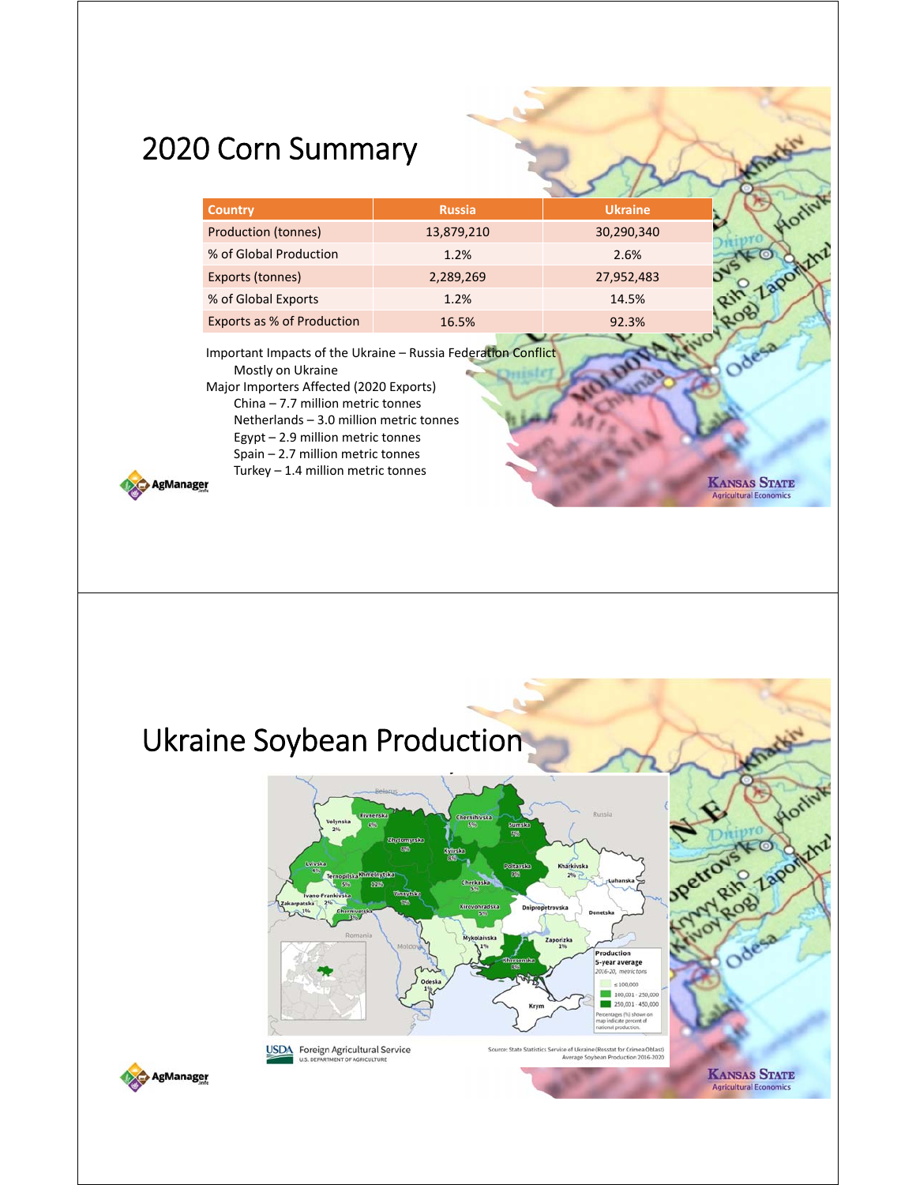## 2020 Corn Summary

| <b>Country</b>                                                                                                                                                                                                 | <b>Russia</b> | <b>Ukraine</b> |  |
|----------------------------------------------------------------------------------------------------------------------------------------------------------------------------------------------------------------|---------------|----------------|--|
| Production (tonnes)                                                                                                                                                                                            | 13,879,210    | 30,290,340     |  |
| % of Global Production                                                                                                                                                                                         | 1.2%          | 2.6%           |  |
| Exports (tonnes)                                                                                                                                                                                               | 2,289,269     | 27,952,483     |  |
| % of Global Exports                                                                                                                                                                                            | 1.2%          | 14.5%          |  |
| <b>Exports as % of Production</b>                                                                                                                                                                              | 16.5%         | 92.3%          |  |
| Important Impacts of the Ukraine – Russia Federation Conflict<br>Mostly on Ukraine<br>Major Importers Affected (2020 Exports)<br>China $-7.7$ million metric tonnes<br>Netherlands - 3.0 million metric tonnes |               |                |  |

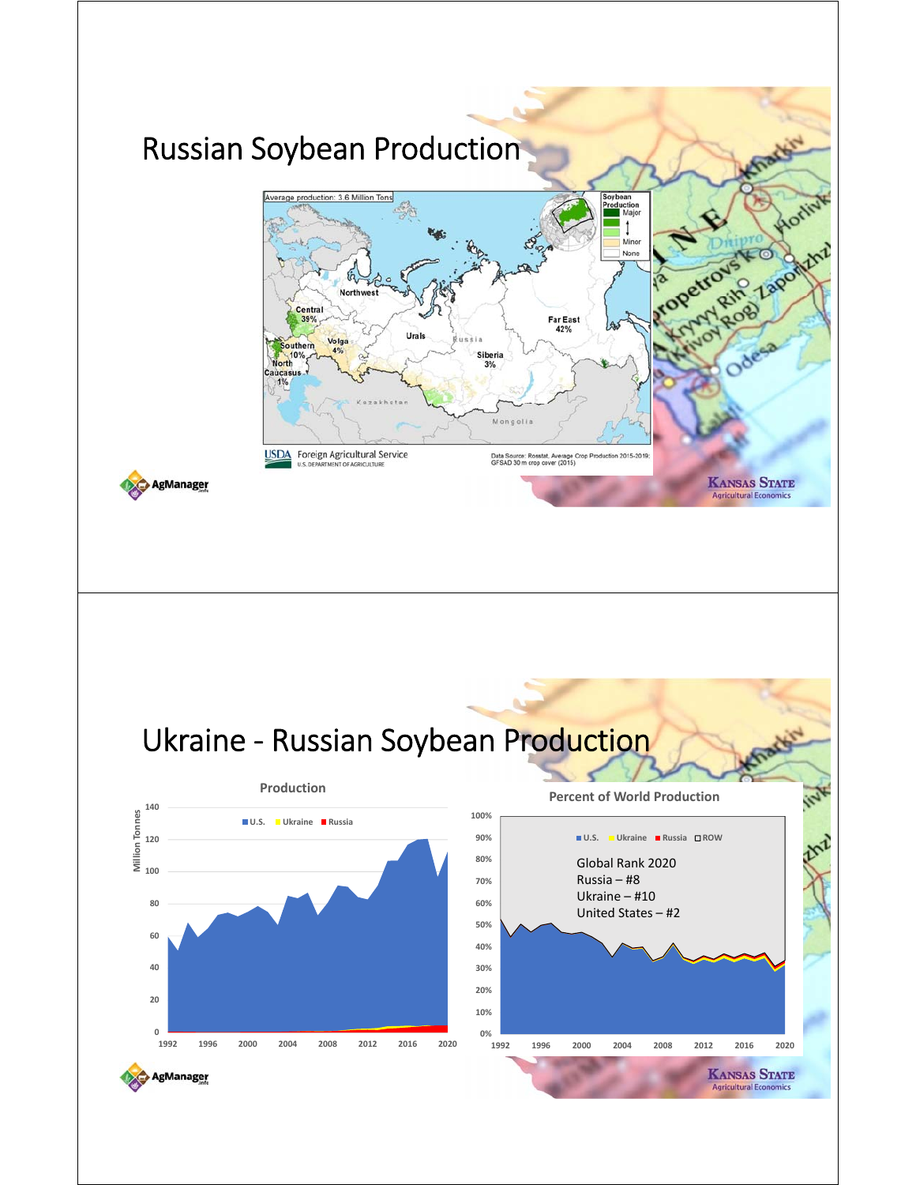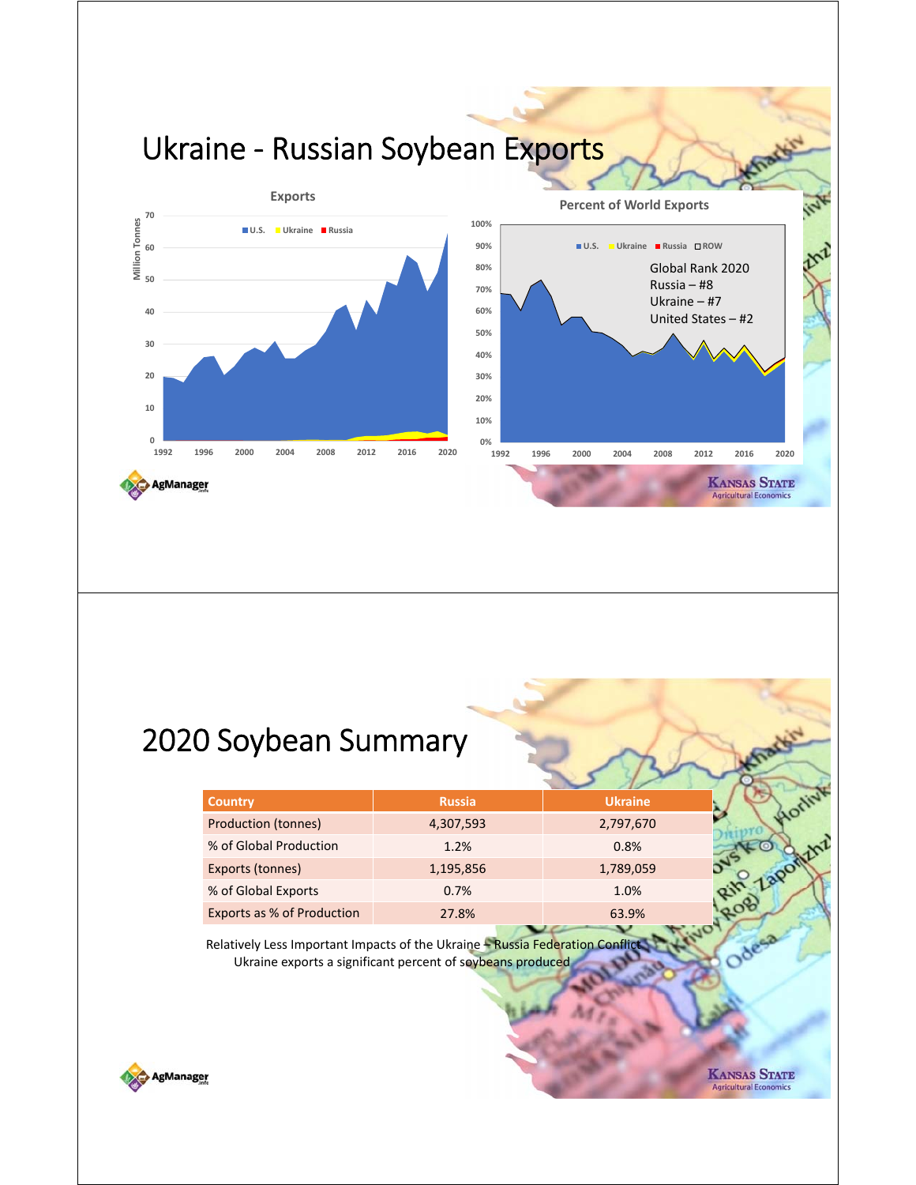

#### 2020 Soybean Summary

| <b>Country</b>             | <b>Russia</b> | <b>Ukraine</b> |  |
|----------------------------|---------------|----------------|--|
| <b>Production (tonnes)</b> | 4,307,593     | 2,797,670      |  |
| % of Global Production     | 1.2%          | 0.8%           |  |
| Exports (tonnes)           | 1,195,856     | 1,789,059      |  |
| % of Global Exports        | 0.7%          | 1.0%           |  |
| Exports as % of Production | 27.8%         | 63.9%          |  |

Relatively Less Important Impacts of the Ukraine - Russia Federation Conflict Ukraine exports a significant percent of soybeans produced



**KANSAS STATE Agricultural Econo**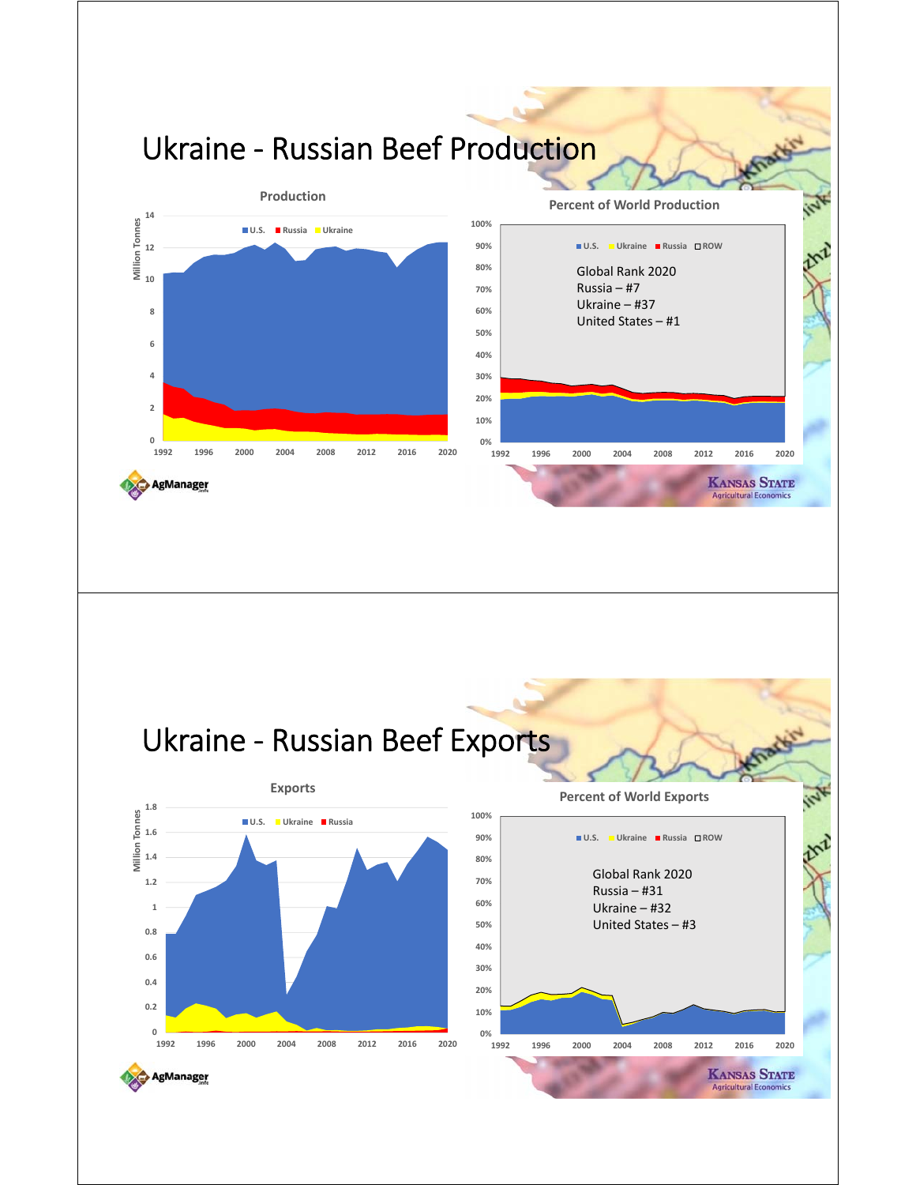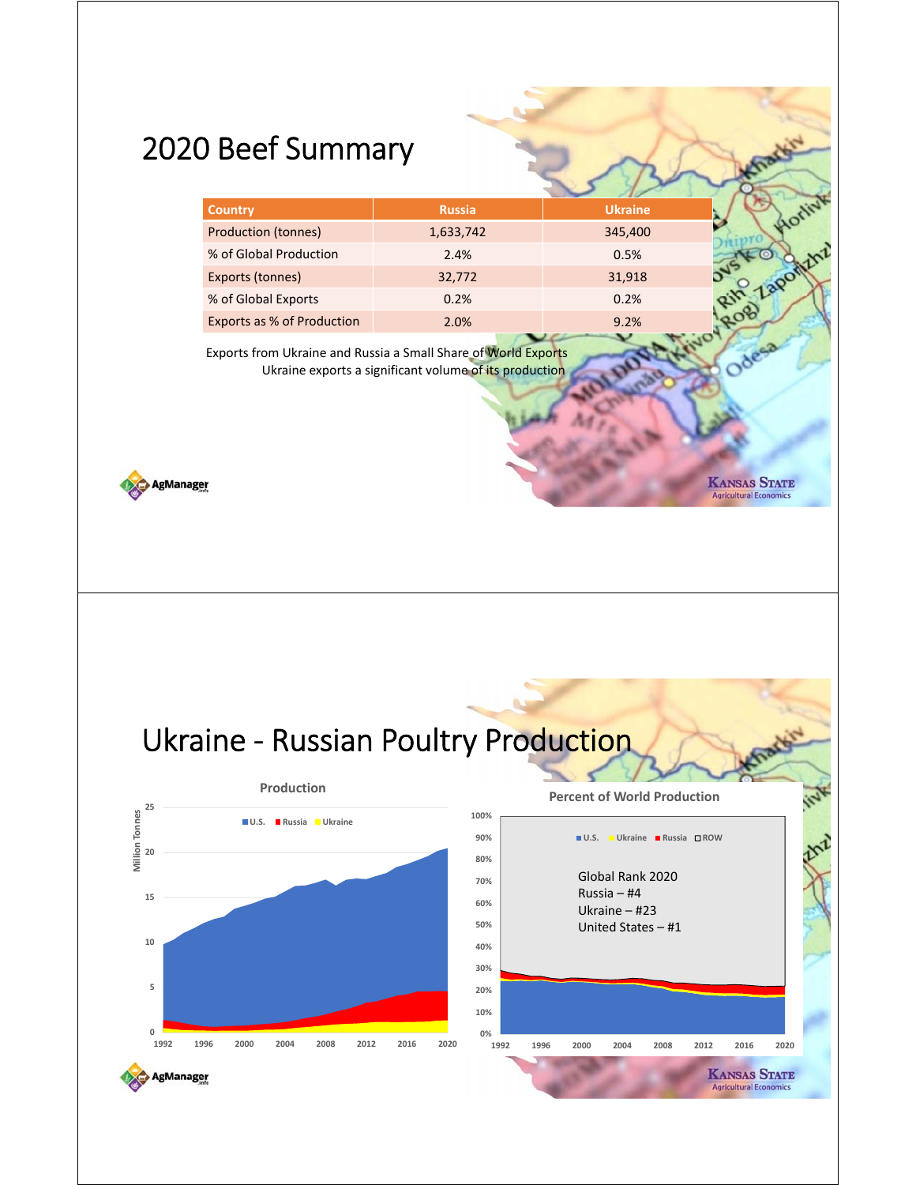### 2020 Beef Summary

| <b>Country</b>             | <b>Russia</b>    | <b>Ukraine</b> |  |
|----------------------------|------------------|----------------|--|
| <b>Production (tonnes)</b> | 1,633,742        | 345,400        |  |
| % of Global Production     | 2.4%             | 0.5%           |  |
| Exports (tonnes)           | 32,772           | 31,918         |  |
| % of Global Exports        | 0.2%             | 0.2%           |  |
| Exports as % of Production | 2.0%             | 9.2%           |  |
| .                          | <b>AND AND A</b> |                |  |

**KANSAS STATE** 

**Agricultural Econom** 

Exports from Ukraine and Russia a Small Share of World Exports Ukraine exports a significant volume of its production



Ukraine - Russian Poultry Production

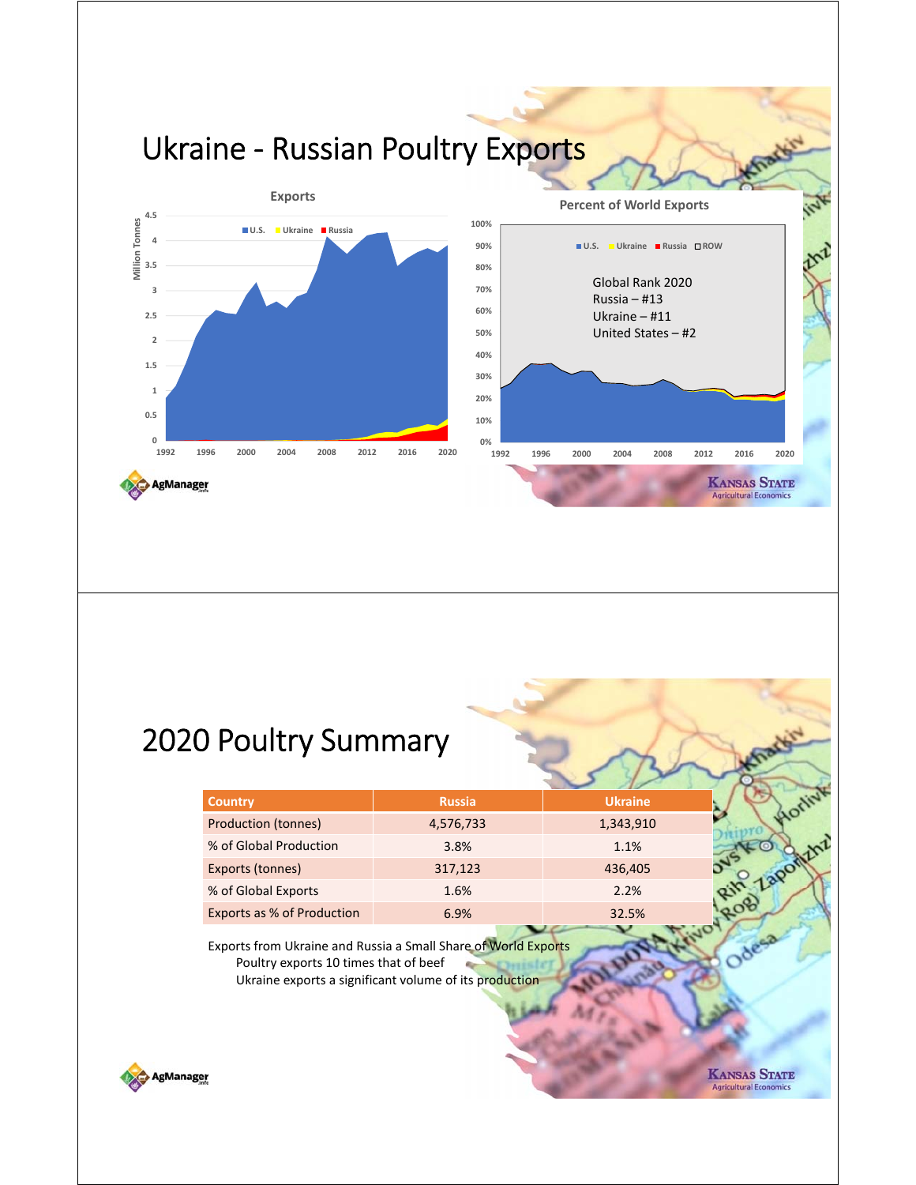

#### 2020 Poultry Summary

| <b>Country</b>                        | <b>Russia</b>                                                                                                            | <b>Ukraine</b> |  |
|---------------------------------------|--------------------------------------------------------------------------------------------------------------------------|----------------|--|
| <b>Production (tonnes)</b>            | 4,576,733                                                                                                                | 1,343,910      |  |
| % of Global Production                | 3.8%                                                                                                                     | 1.1%           |  |
| Exports (tonnes)                      | 317,123                                                                                                                  | 436,405        |  |
| % of Global Exports                   | 1.6%                                                                                                                     | 2.2%           |  |
| Exports as % of Production            | 6.9%                                                                                                                     | 32.5%          |  |
| Poultry exports 10 times that of beef | Exports from Ukraine and Russia a Small Share of World Exports<br>Ukraine exports a significant volume of its production |                |  |



**KANSAS STATE Agricultural Econo**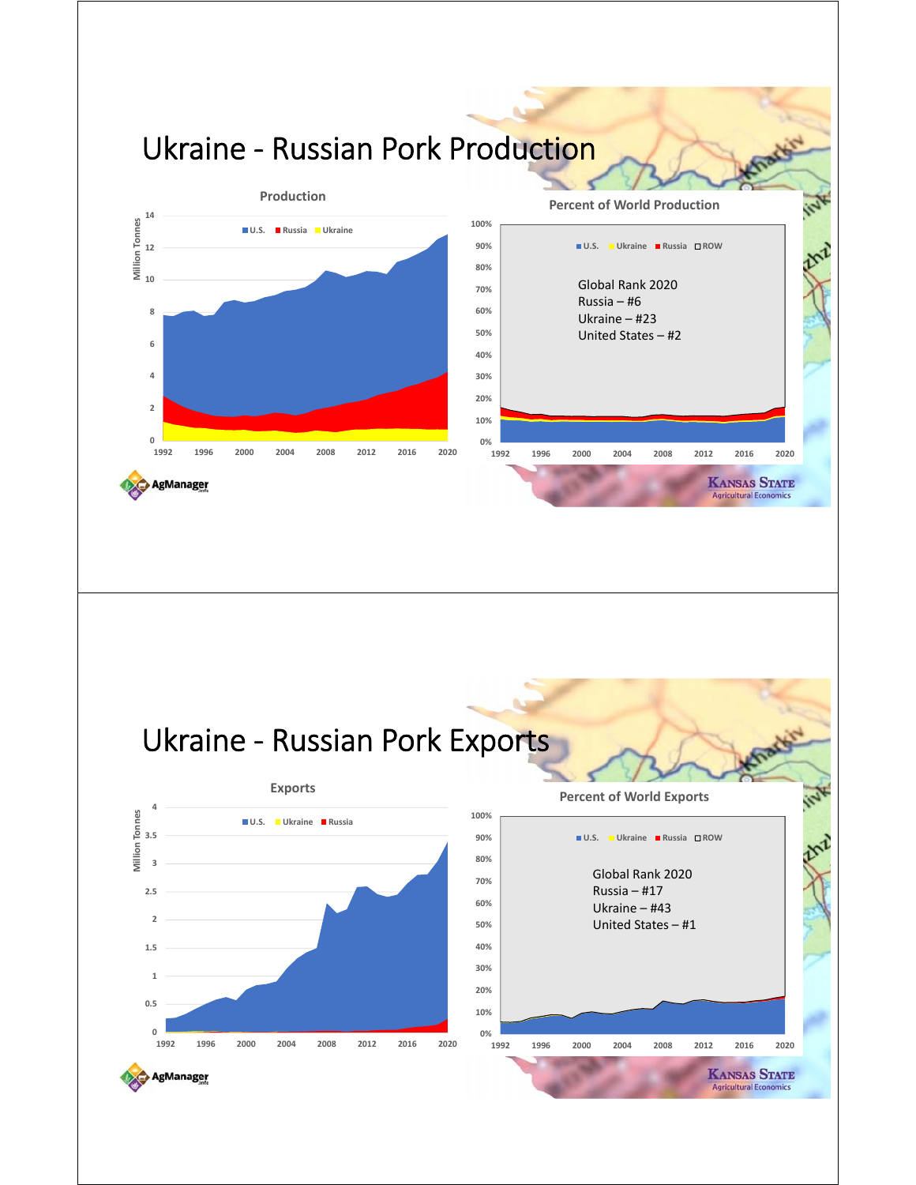

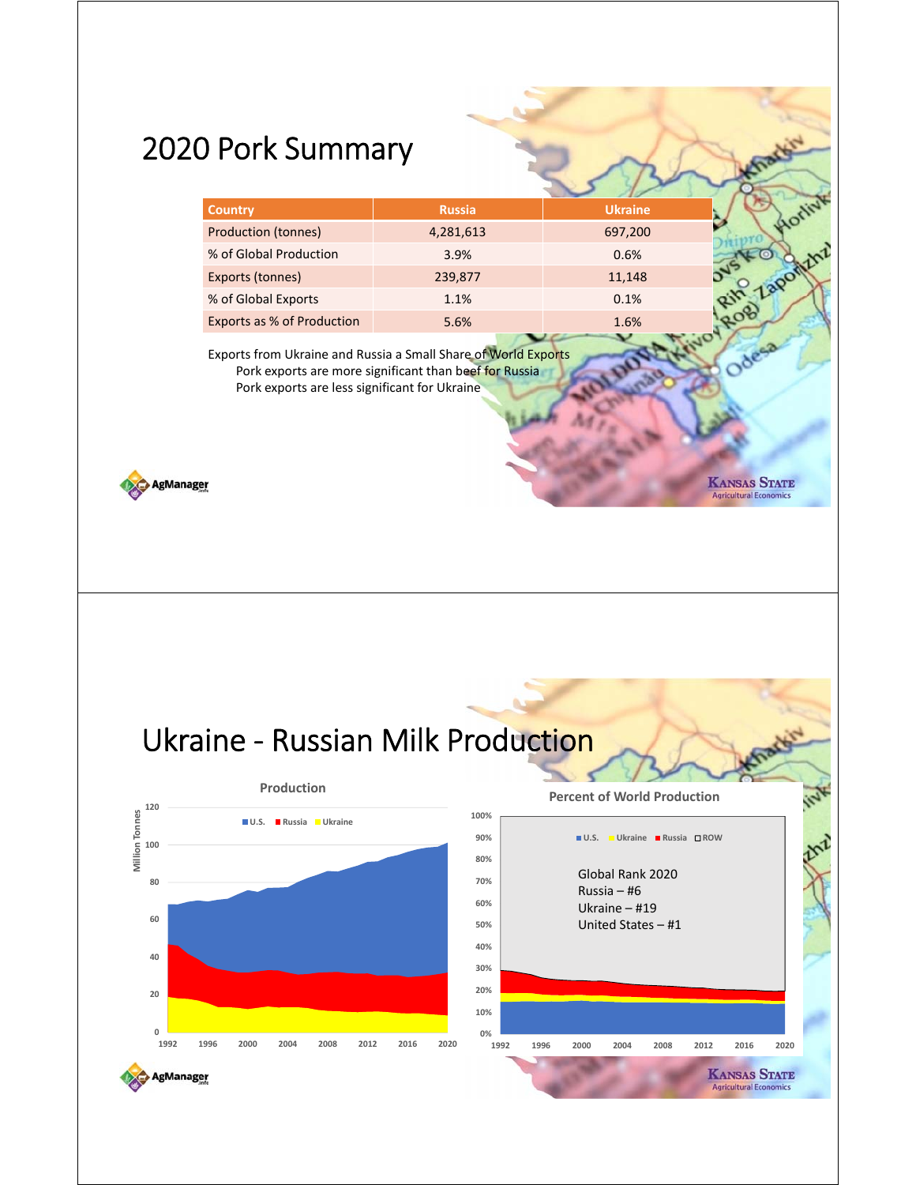## 2020 Pork Summary

|                             | <b>Country</b>                                                                                                  | <b>Russia</b>                                          | <b>Ukraine</b>                                         |                                                      |
|-----------------------------|-----------------------------------------------------------------------------------------------------------------|--------------------------------------------------------|--------------------------------------------------------|------------------------------------------------------|
|                             | <b>Production (tonnes)</b>                                                                                      | 4,281,613                                              | 697,200                                                | <b>AOT</b>                                           |
|                             | % of Global Production                                                                                          | 3.9%                                                   | 0.6%                                                   |                                                      |
|                             | Exports (tonnes)                                                                                                | 239,877                                                | 11,148                                                 | Zaponthi                                             |
|                             | % of Global Exports                                                                                             | 1.1%                                                   | 0.1%                                                   |                                                      |
|                             | Exports as % of Production                                                                                      | 5.6%                                                   | 1.6%                                                   |                                                      |
| <b>\gManager</b>            | Exports from Ukraine and Russia a Small Share of World Exports<br>Pork exports are less significant for Ukraine | Pork exports are more significant than beef for Russia |                                                        | <b>KANSAS STATE</b><br><b>Agricultural Economics</b> |
|                             |                                                                                                                 |                                                        |                                                        |                                                      |
|                             |                                                                                                                 |                                                        |                                                        |                                                      |
|                             | Ukraine - Russian Milk Production                                                                               |                                                        |                                                        |                                                      |
|                             | Production                                                                                                      |                                                        |                                                        |                                                      |
| 120                         | U.S. Russia Ukraine                                                                                             | 100%                                                   | <b>Percent of World Production</b>                     |                                                      |
|                             |                                                                                                                 | 90%                                                    | $\blacksquare$ U.S.<br><b>■ Ukraine ■ Russia □ ROW</b> |                                                      |
|                             |                                                                                                                 | 80%                                                    |                                                        |                                                      |
|                             |                                                                                                                 | 70%                                                    | Global Rank 2020                                       |                                                      |
|                             |                                                                                                                 | 60%                                                    | Russia $-$ #6<br>Ukraine $-$ #19                       |                                                      |
|                             |                                                                                                                 | 50%                                                    | United States - #1                                     |                                                      |
|                             |                                                                                                                 | 40%                                                    |                                                        |                                                      |
|                             |                                                                                                                 | 30%                                                    |                                                        |                                                      |
|                             |                                                                                                                 | 20%                                                    |                                                        |                                                      |
| 100<br>80<br>60<br>40<br>20 |                                                                                                                 | 10%                                                    |                                                        |                                                      |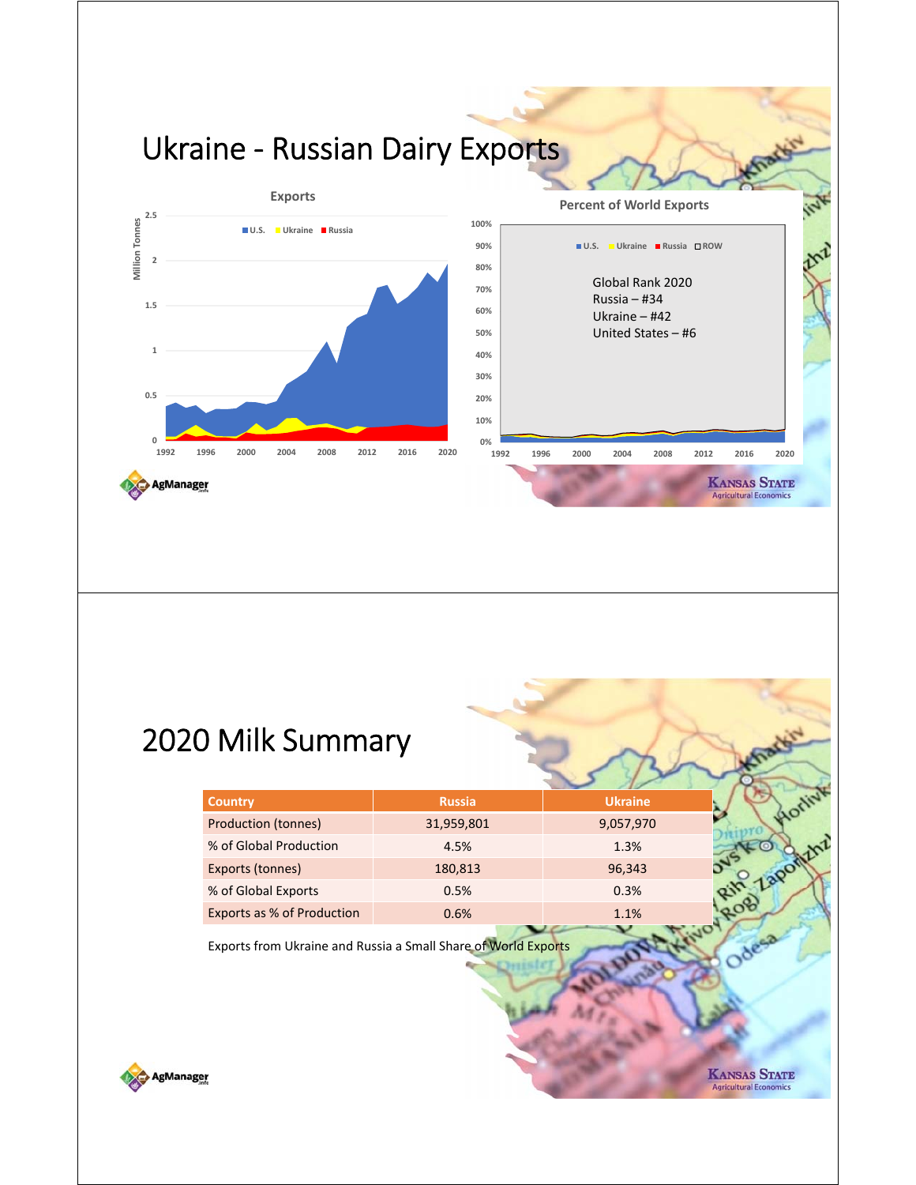

#### 2020 Milk Summary

| <b>Country</b>                    | <b>Russia</b> | <b>Ukraine</b> |  |
|-----------------------------------|---------------|----------------|--|
| <b>Production (tonnes)</b>        | 31,959,801    | 9,057,970      |  |
| % of Global Production            | 4.5%          | 1.3%           |  |
| Exports (tonnes)                  | 180,813       | 96,343         |  |
| % of Global Exports               | 0.5%          | 0.3%           |  |
| <b>Exports as % of Production</b> | 0.6%          | 1.1%           |  |

Exports from Ukraine and Russia a Small Share of World Exports



**KANSAS STATE Agricultural Econo**